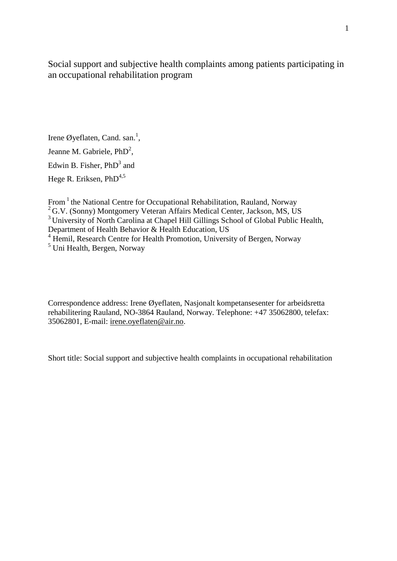Social support and subjective health complaints among patients participating in an occupational rehabilitation program

Irene Øyeflaten, Cand. san.<sup>1</sup>, Jeanne M. Gabriele,  $PhD^2$ , Edwin B. Fisher,  $PhD<sup>3</sup>$  and Hege R. Eriksen,  $PhD<sup>4,5</sup>$ 

From <sup>1</sup> the National Centre for Occupational Rehabilitation, Rauland, Norway  $^{2}$  G.V. (Sonny) Montgomery Veteran Affairs Medical Center, Jackson, MS, US <sup>3</sup> University of North Carolina at Chapel Hill Gillings School of Global Public Health, Department of Health Behavior & Health Education, US <sup>4</sup> Hemil, Research Centre for Health Promotion, University of Bergen, Norway <sup>5</sup> Uni Health, Bergen, Norway

Correspondence address: Irene Øyeflaten, Nasjonalt kompetansesenter for arbeidsretta rehabilitering Rauland, NO-3864 Rauland, Norway. Telephone: +47 35062800, telefax: 35062801, E-mail: [irene.oyeflaten@air.no.](mailto:irene.oyeflaten@air.no)

Short title: Social support and subjective health complaints in occupational rehabilitation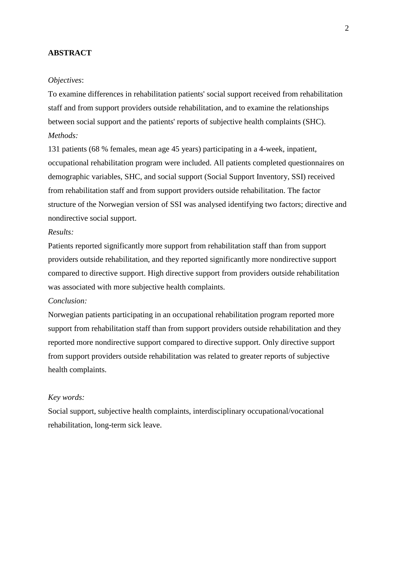# **ABSTRACT**

### *Objectives*:

To examine differences in rehabilitation patients' social support received from rehabilitation staff and from support providers outside rehabilitation, and to examine the relationships between social support and the patients' reports of subjective health complaints (SHC). *Methods:* 

131 patients (68 % females, mean age 45 years) participating in a 4-week, inpatient, occupational rehabilitation program were included. All patients completed questionnaires on demographic variables, SHC, and social support (Social Support Inventory, SSI) received from rehabilitation staff and from support providers outside rehabilitation. The factor structure of the Norwegian version of SSI was analysed identifying two factors; directive and nondirective social support.

# *Results:*

Patients reported significantly more support from rehabilitation staff than from support providers outside rehabilitation, and they reported significantly more nondirective support compared to directive support. High directive support from providers outside rehabilitation was associated with more subjective health complaints.

#### *Conclusion:*

Norwegian patients participating in an occupational rehabilitation program reported more support from rehabilitation staff than from support providers outside rehabilitation and they reported more nondirective support compared to directive support. Only directive support from support providers outside rehabilitation was related to greater reports of subjective health complaints. .

# *Key words:*

Social support, subjective health complaints, interdisciplinary occupational/vocational rehabilitation, long-term sick leave.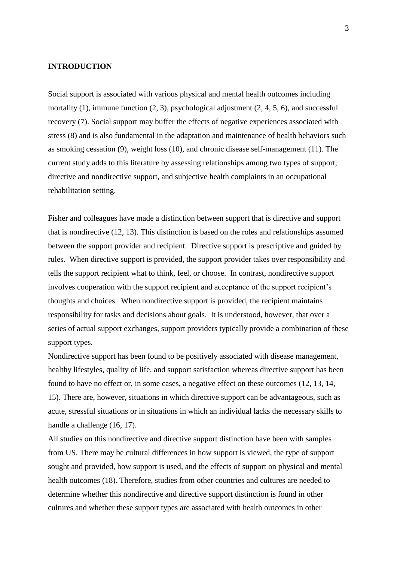# **INTRODUCTION**

Social support is associated with various physical and mental health outcomes including mortality  $(1)$ , immune function  $(2, 3)$ , psychological adjustment  $(2, 4, 5, 6)$ , and successful recovery (7). Social support may buffer the effects of negative experiences associated with stress (8) and is also fundamental in the adaptation and maintenance of health behaviors such as smoking cessation (9), weight loss (10), and chronic disease self-management (11). The current study adds to this literature by assessing relationships among two types of support, directive and nondirective support, and subjective health complaints in an occupational rehabilitation setting.

Fisher and colleagues have made a distinction between support that is directive and support that is nondirective (12, 13). This distinction is based on the roles and relationships assumed between the support provider and recipient. Directive support is prescriptive and guided by rules. When directive support is provided, the support provider takes over responsibility and tells the support recipient what to think, feel, or choose. In contrast, nondirective support involves cooperation with the support recipient and acceptance of the support recipient's thoughts and choices. When nondirective support is provided, the recipient maintains responsibility for tasks and decisions about goals. It is understood, however, that over a series of actual support exchanges, support providers typically provide a combination of these support types.

Nondirective support has been found to be positively associated with disease management, healthy lifestyles, quality of life, and support satisfaction whereas directive support has been found to have no effect or, in some cases, a negative effect on these outcomes (12, 13, 14, 15). There are, however, situations in which directive support can be advantageous, such as acute, stressful situations or in situations in which an individual lacks the necessary skills to handle a challenge (16, 17).

All studies on this nondirective and directive support distinction have been with samples from US. There may be cultural differences in how support is viewed, the type of support sought and provided, how support is used, and the effects of support on physical and mental health outcomes (18). Therefore, studies from other countries and cultures are needed to determine whether this nondirective and directive support distinction is found in other cultures and whether these support types are associated with health outcomes in other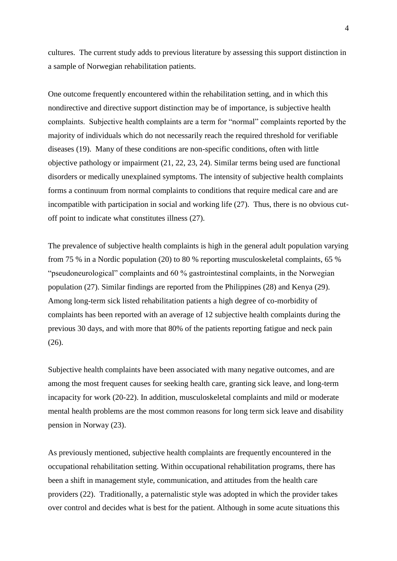cultures. The current study adds to previous literature by assessing this support distinction in a sample of Norwegian rehabilitation patients.

One outcome frequently encountered within the rehabilitation setting, and in which this nondirective and directive support distinction may be of importance, is subjective health complaints. Subjective health complaints are a term for "normal" complaints reported by the majority of individuals which do not necessarily reach the required threshold for verifiable diseases (19). Many of these conditions are non-specific conditions, often with little objective pathology or impairment (21, 22, 23, 24). Similar terms being used are functional disorders or medically unexplained symptoms. The intensity of subjective health complaints forms a continuum from normal complaints to conditions that require medical care and are incompatible with participation in social and working life (27). Thus, there is no obvious cutoff point to indicate what constitutes illness (27).

The prevalence of subjective health complaints is high in the general adult population varying from 75 % in a Nordic population (20) to 80 % reporting musculoskeletal complaints, 65 % "pseudoneurological" complaints and 60 % gastrointestinal complaints, in the Norwegian population (27). Similar findings are reported from the Philippines (28) and Kenya (29). Among long-term sick listed rehabilitation patients a high degree of co-morbidity of complaints has been reported with an average of 12 subjective health complaints during the previous 30 days, and with more that 80% of the patients reporting fatigue and neck pain (26).

Subjective health complaints have been associated with many negative outcomes, and are among the most frequent causes for seeking health care, granting sick leave, and long-term incapacity for work (20-22). In addition, musculoskeletal complaints and mild or moderate mental health problems are the most common reasons for long term sick leave and disability pension in Norway (23).

As previously mentioned, subjective health complaints are frequently encountered in the occupational rehabilitation setting. Within occupational rehabilitation programs, there has been a shift in management style, communication, and attitudes from the health care providers (22). Traditionally, a paternalistic style was adopted in which the provider takes over control and decides what is best for the patient. Although in some acute situations this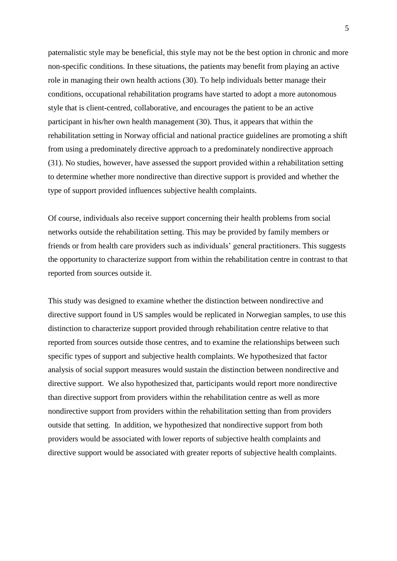paternalistic style may be beneficial, this style may not be the best option in chronic and more non-specific conditions. In these situations, the patients may benefit from playing an active role in managing their own health actions (30). To help individuals better manage their conditions, occupational rehabilitation programs have started to adopt a more autonomous style that is client-centred, collaborative, and encourages the patient to be an active participant in his/her own health management (30). Thus, it appears that within the rehabilitation setting in Norway official and national practice guidelines are promoting a shift from using a predominately directive approach to a predominately nondirective approach (31). No studies, however, have assessed the support provided within a rehabilitation setting to determine whether more nondirective than directive support is provided and whether the type of support provided influences subjective health complaints.

Of course, individuals also receive support concerning their health problems from social networks outside the rehabilitation setting. This may be provided by family members or friends or from health care providers such as individuals' general practitioners. This suggests the opportunity to characterize support from within the rehabilitation centre in contrast to that reported from sources outside it.

This study was designed to examine whether the distinction between nondirective and directive support found in US samples would be replicated in Norwegian samples, to use this distinction to characterize support provided through rehabilitation centre relative to that reported from sources outside those centres, and to examine the relationships between such specific types of support and subjective health complaints. We hypothesized that factor analysis of social support measures would sustain the distinction between nondirective and directive support. We also hypothesized that, participants would report more nondirective than directive support from providers within the rehabilitation centre as well as more nondirective support from providers within the rehabilitation setting than from providers outside that setting. In addition, we hypothesized that nondirective support from both providers would be associated with lower reports of subjective health complaints and directive support would be associated with greater reports of subjective health complaints.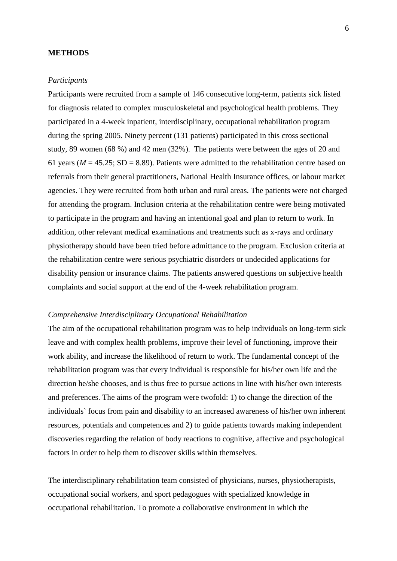#### **METHODS**

### *Participants*

Participants were recruited from a sample of 146 consecutive long-term, patients sick listed for diagnosis related to complex musculoskeletal and psychological health problems. They participated in a 4-week inpatient, interdisciplinary, occupational rehabilitation program during the spring 2005. Ninety percent (131 patients) participated in this cross sectional study, 89 women (68 %) and 42 men (32%). The patients were between the ages of 20 and 61 years ( $M = 45.25$ ; SD = 8.89). Patients were admitted to the rehabilitation centre based on referrals from their general practitioners, National Health Insurance offices, or labour market agencies. They were recruited from both urban and rural areas. The patients were not charged for attending the program. Inclusion criteria at the rehabilitation centre were being motivated to participate in the program and having an intentional goal and plan to return to work. In addition, other relevant medical examinations and treatments such as x-rays and ordinary physiotherapy should have been tried before admittance to the program. Exclusion criteria at the rehabilitation centre were serious psychiatric disorders or undecided applications for disability pension or insurance claims. The patients answered questions on subjective health complaints and social support at the end of the 4-week rehabilitation program.

#### *Comprehensive Interdisciplinary Occupational Rehabilitation*

The aim of the occupational rehabilitation program was to help individuals on long-term sick leave and with complex health problems, improve their level of functioning, improve their work ability, and increase the likelihood of return to work. The fundamental concept of the rehabilitation program was that every individual is responsible for his/her own life and the direction he/she chooses, and is thus free to pursue actions in line with his/her own interests and preferences. The aims of the program were twofold: 1) to change the direction of the individuals` focus from pain and disability to an increased awareness of his/her own inherent resources, potentials and competences and 2) to guide patients towards making independent discoveries regarding the relation of body reactions to cognitive, affective and psychological factors in order to help them to discover skills within themselves.

The interdisciplinary rehabilitation team consisted of physicians, nurses, physiotherapists, occupational social workers, and sport pedagogues with specialized knowledge in occupational rehabilitation. To promote a collaborative environment in which the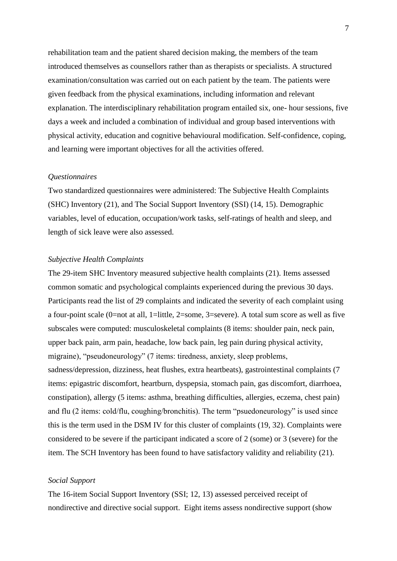rehabilitation team and the patient shared decision making, the members of the team introduced themselves as counsellors rather than as therapists or specialists. A structured examination/consultation was carried out on each patient by the team. The patients were given feedback from the physical examinations, including information and relevant explanation. The interdisciplinary rehabilitation program entailed six, one- hour sessions, five days a week and included a combination of individual and group based interventions with physical activity, education and cognitive behavioural modification. Self-confidence, coping, and learning were important objectives for all the activities offered.

#### *Questionnaires*

Two standardized questionnaires were administered: The Subjective Health Complaints (SHC) Inventory (21), and The Social Support Inventory (SSI) (14, 15). Demographic variables, level of education, occupation/work tasks, self-ratings of health and sleep, and length of sick leave were also assessed.

### *Subjective Health Complaints*

The 29-item SHC Inventory measured subjective health complaints (21). Items assessed common somatic and psychological complaints experienced during the previous 30 days. Participants read the list of 29 complaints and indicated the severity of each complaint using a four-point scale (0=not at all, 1=little, 2=some, 3=severe). A total sum score as well as five subscales were computed: musculoskeletal complaints (8 items: shoulder pain, neck pain, upper back pain, arm pain, headache, low back pain, leg pain during physical activity, migraine), "pseudoneurology" (7 items: tiredness, anxiety, sleep problems, sadness/depression, dizziness, heat flushes, extra heartbeats), gastrointestinal complaints (7 items: epigastric discomfort, heartburn, dyspepsia, stomach pain, gas discomfort, diarrhoea, constipation), allergy (5 items: asthma, breathing difficulties, allergies, eczema, chest pain) and flu (2 items: cold/flu, coughing/bronchitis). The term "psuedoneurology" is used since this is the term used in the DSM IV for this cluster of complaints (19, 32). Complaints were considered to be severe if the participant indicated a score of 2 (some) or 3 (severe) for the item. The SCH Inventory has been found to have satisfactory validity and reliability (21).

# *Social Support*

The 16-item Social Support Inventory (SSI; 12, 13) assessed perceived receipt of nondirective and directive social support. Eight items assess nondirective support (show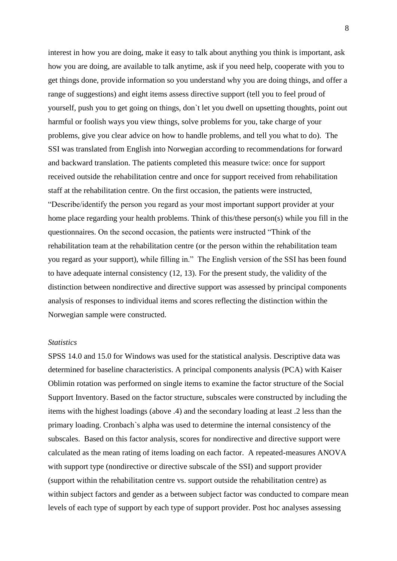interest in how you are doing, make it easy to talk about anything you think is important, ask how you are doing, are available to talk anytime, ask if you need help, cooperate with you to get things done, provide information so you understand why you are doing things, and offer a range of suggestions) and eight items assess directive support (tell you to feel proud of yourself, push you to get going on things, don`t let you dwell on upsetting thoughts, point out harmful or foolish ways you view things, solve problems for you, take charge of your problems, give you clear advice on how to handle problems, and tell you what to do). The SSI was translated from English into Norwegian according to recommendations for forward and backward translation. The patients completed this measure twice: once for support received outside the rehabilitation centre and once for support received from rehabilitation staff at the rehabilitation centre. On the first occasion, the patients were instructed, "Describe/identify the person you regard as your most important support provider at your home place regarding your health problems. Think of this/these person(s) while you fill in the questionnaires. On the second occasion, the patients were instructed "Think of the rehabilitation team at the rehabilitation centre (or the person within the rehabilitation team you regard as your support), while filling in." The English version of the SSI has been found to have adequate internal consistency (12, 13). For the present study, the validity of the distinction between nondirective and directive support was assessed by principal components analysis of responses to individual items and scores reflecting the distinction within the Norwegian sample were constructed.

#### *Statistics*

SPSS 14.0 and 15.0 for Windows was used for the statistical analysis. Descriptive data was determined for baseline characteristics. A principal components analysis (PCA) with Kaiser Oblimin rotation was performed on single items to examine the factor structure of the Social Support Inventory. Based on the factor structure, subscales were constructed by including the items with the highest loadings (above .4) and the secondary loading at least .2 less than the primary loading. Cronbach`s alpha was used to determine the internal consistency of the subscales. Based on this factor analysis, scores for nondirective and directive support were calculated as the mean rating of items loading on each factor. A repeated-measures ANOVA with support type (nondirective or directive subscale of the SSI) and support provider (support within the rehabilitation centre vs. support outside the rehabilitation centre) as within subject factors and gender as a between subject factor was conducted to compare mean levels of each type of support by each type of support provider. Post hoc analyses assessing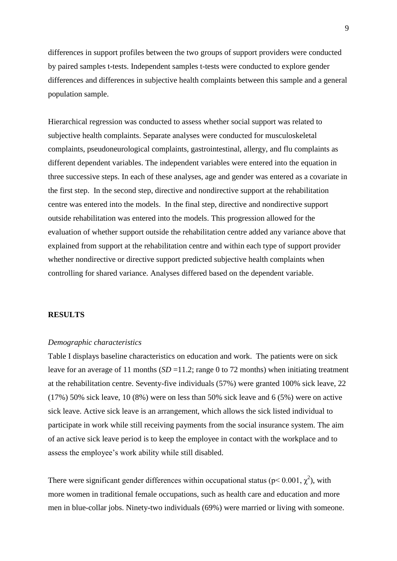differences in support profiles between the two groups of support providers were conducted by paired samples t-tests. Independent samples t-tests were conducted to explore gender differences and differences in subjective health complaints between this sample and a general population sample.

Hierarchical regression was conducted to assess whether social support was related to subjective health complaints. Separate analyses were conducted for musculoskeletal complaints, pseudoneurological complaints, gastrointestinal, allergy, and flu complaints as different dependent variables. The independent variables were entered into the equation in three successive steps. In each of these analyses, age and gender was entered as a covariate in the first step. In the second step, directive and nondirective support at the rehabilitation centre was entered into the models. In the final step, directive and nondirective support outside rehabilitation was entered into the models. This progression allowed for the evaluation of whether support outside the rehabilitation centre added any variance above that explained from support at the rehabilitation centre and within each type of support provider whether nondirective or directive support predicted subjective health complaints when controlling for shared variance. Analyses differed based on the dependent variable.

### **RESULTS**

#### *Demographic characteristics*

Table I displays baseline characteristics on education and work. The patients were on sick leave for an average of 11 months (*SD* =11.2; range 0 to 72 months) when initiating treatment at the rehabilitation centre. Seventy-five individuals (57%) were granted 100% sick leave, 22 (17%) 50% sick leave, 10 (8%) were on less than 50% sick leave and 6 (5%) were on active sick leave. Active sick leave is an arrangement, which allows the sick listed individual to participate in work while still receiving payments from the social insurance system. The aim of an active sick leave period is to keep the employee in contact with the workplace and to assess the employee's work ability while still disabled.

There were significant gender differences within occupational status ( $p$ < 0.001,  $\chi^2$ ), with more women in traditional female occupations, such as health care and education and more men in blue-collar jobs. Ninety-two individuals (69%) were married or living with someone.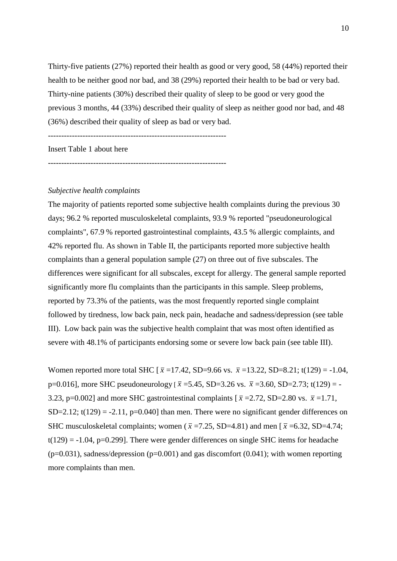Thirty-five patients (27%) reported their health as good or very good, 58 (44%) reported their health to be neither good nor bad, and 38 (29%) reported their health to be bad or very bad. Thirty-nine patients (30%) described their quality of sleep to be good or very good the previous 3 months, 44 (33%) described their quality of sleep as neither good nor bad, and 48 (36%) described their quality of sleep as bad or very bad.

-------------------------------------------------------------------

Insert Table 1 about here

-------------------------------------------------------------------

# *Subjective health complaints*

The majority of patients reported some subjective health complaints during the previous 30 days; 96.2 % reported musculoskeletal complaints, 93.9 % reported "pseudoneurological complaints", 67.9 % reported gastrointestinal complaints, 43.5 % allergic complaints, and 42% reported flu. As shown in Table II, the participants reported more subjective health complaints than a general population sample (27) on three out of five subscales. The differences were significant for all subscales, except for allergy. The general sample reported significantly more flu complaints than the participants in this sample. Sleep problems, reported by 73.3% of the patients, was the most frequently reported single complaint followed by tiredness, low back pain, neck pain, headache and sadness/depression (see table III). Low back pain was the subjective health complaint that was most often identified as severe with 48.1% of participants endorsing some or severe low back pain (see table III).

Women reported more total SHC  $[\bar{x}$  =17.42, SD=9.66 vs.  $\bar{x}$  =13.22, SD=8.21; t(129) = -1.04, p=0.016], more SHC pseudoneurology  $\bar{x}$  =5.45, SD=3.26 vs.  $\bar{x}$  =3.60, SD=2.73; t(129) = -3.23, p=0.002] and more SHC gastrointestinal complaints  $\overline{x}$  =2.72, SD=2.80 vs.  $\overline{x}$  =1.71, SD=2.12;  $t(129) = -2.11$ ,  $p=0.040$ ] than men. There were no significant gender differences on SHC musculoskeletal complaints; women ( $\bar{x}$  =7.25, SD=4.81) and men [ $\bar{x}$  =6.32, SD=4.74;  $t(129) = -1.04$ , p=0.299]. There were gender differences on single SHC items for headache  $(p=0.031)$ , sadness/depression  $(p=0.001)$  and gas discomfort  $(0.041)$ ; with women reporting more complaints than men.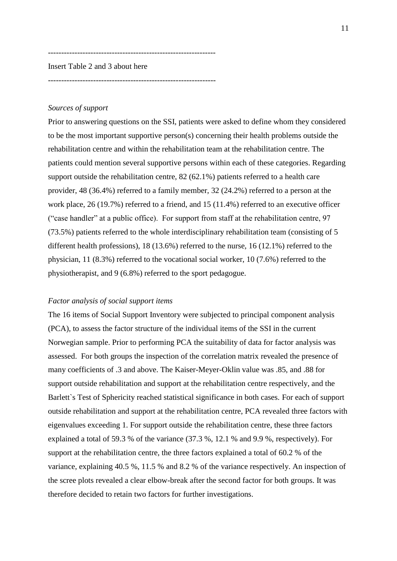Insert Table 2 and 3 about here

---------------------------------------------------------------

---------------------------------------------------------------

# *Sources of support*

Prior to answering questions on the SSI, patients were asked to define whom they considered to be the most important supportive person(s) concerning their health problems outside the rehabilitation centre and within the rehabilitation team at the rehabilitation centre. The patients could mention several supportive persons within each of these categories. Regarding support outside the rehabilitation centre, 82 (62.1%) patients referred to a health care provider, 48 (36.4%) referred to a family member, 32 (24.2%) referred to a person at the work place, 26 (19.7%) referred to a friend, and 15 (11.4%) referred to an executive officer ("case handler" at a public office). For support from staff at the rehabilitation centre, 97 (73.5%) patients referred to the whole interdisciplinary rehabilitation team (consisting of 5 different health professions), 18 (13.6%) referred to the nurse, 16 (12.1%) referred to the physician, 11 (8.3%) referred to the vocational social worker, 10 (7.6%) referred to the physiotherapist, and 9 (6.8%) referred to the sport pedagogue.

#### *Factor analysis of social support items*

The 16 items of Social Support Inventory were subjected to principal component analysis (PCA), to assess the factor structure of the individual items of the SSI in the current Norwegian sample. Prior to performing PCA the suitability of data for factor analysis was assessed. For both groups the inspection of the correlation matrix revealed the presence of many coefficients of .3 and above. The Kaiser-Meyer-Oklin value was .85, and .88 for support outside rehabilitation and support at the rehabilitation centre respectively, and the Barlett`s Test of Sphericity reached statistical significance in both cases. For each of support outside rehabilitation and support at the rehabilitation centre, PCA revealed three factors with eigenvalues exceeding 1. For support outside the rehabilitation centre, these three factors explained a total of 59.3 % of the variance (37.3 %, 12.1 % and 9.9 %, respectively). For support at the rehabilitation centre, the three factors explained a total of 60.2 % of the variance, explaining 40.5 %, 11.5 % and 8.2 % of the variance respectively. An inspection of the scree plots revealed a clear elbow-break after the second factor for both groups. It was therefore decided to retain two factors for further investigations.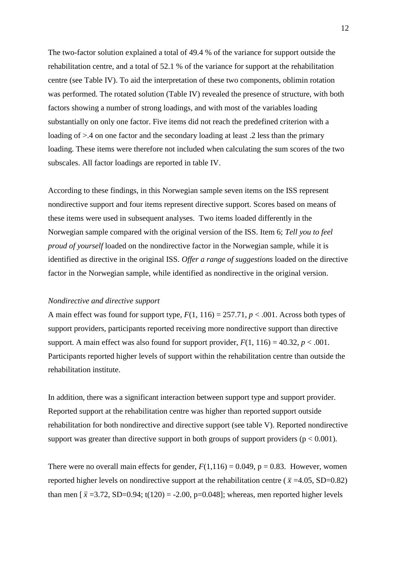The two-factor solution explained a total of 49.4 % of the variance for support outside the rehabilitation centre, and a total of 52.1 % of the variance for support at the rehabilitation centre (see Table IV). To aid the interpretation of these two components, oblimin rotation was performed. The rotated solution (Table IV) revealed the presence of structure, with both factors showing a number of strong loadings, and with most of the variables loading substantially on only one factor. Five items did not reach the predefined criterion with a loading of  $>4$  on one factor and the secondary loading at least .2 less than the primary loading. These items were therefore not included when calculating the sum scores of the two subscales. All factor loadings are reported in table IV.

According to these findings, in this Norwegian sample seven items on the ISS represent nondirective support and four items represent directive support. Scores based on means of these items were used in subsequent analyses. Two items loaded differently in the Norwegian sample compared with the original version of the ISS. Item 6; *Tell you to feel proud of yourself* loaded on the nondirective factor in the Norwegian sample, while it is identified as directive in the original ISS. *Offer a range of suggestions* loaded on the directive factor in the Norwegian sample, while identified as nondirective in the original version.

#### *Nondirective and directive support*

A main effect was found for support type,  $F(1, 116) = 257.71$ ,  $p < .001$ . Across both types of support providers, participants reported receiving more nondirective support than directive support. A main effect was also found for support provider,  $F(1, 116) = 40.32$ ,  $p < .001$ . Participants reported higher levels of support within the rehabilitation centre than outside the rehabilitation institute.

In addition, there was a significant interaction between support type and support provider. Reported support at the rehabilitation centre was higher than reported support outside rehabilitation for both nondirective and directive support (see table V). Reported nondirective support was greater than directive support in both groups of support providers ( $p < 0.001$ ).

There were no overall main effects for gender,  $F(1,116) = 0.049$ ,  $p = 0.83$ . However, women reported higher levels on nondirective support at the rehabilitation centre ( $\bar{x}$  =4.05, SD=0.82) than men  $[\bar{x} = 3.72, SD = 0.94; t(120) = -2.00, p = 0.048]$ ; whereas, men reported higher levels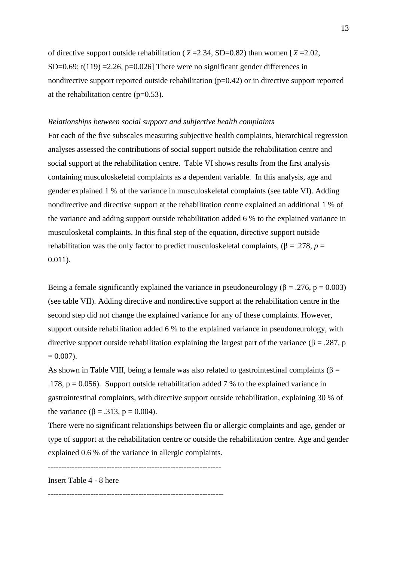of directive support outside rehabilitation ( $\bar{x}$  = 2.34, SD=0.82) than women [ $\bar{x}$  = 2.02, SD=0.69; t(119) = 2.26, p=0.026] There were no significant gender differences in nondirective support reported outside rehabilitation  $(p=0.42)$  or in directive support reported at the rehabilitation centre (p=0.53).

#### *Relationships between social support and subjective health complaints*

For each of the five subscales measuring subjective health complaints, hierarchical regression analyses assessed the contributions of social support outside the rehabilitation centre and social support at the rehabilitation centre. Table VI shows results from the first analysis containing musculoskeletal complaints as a dependent variable. In this analysis, age and gender explained 1 % of the variance in musculoskeletal complaints (see table VI). Adding nondirective and directive support at the rehabilitation centre explained an additional 1 % of the variance and adding support outside rehabilitation added 6 % to the explained variance in musculosketal complaints. In this final step of the equation, directive support outside rehabilitation was the only factor to predict musculoskeletal complaints,  $(\beta = .278, p = )$ 0.011).

Being a female significantly explained the variance in pseudoneurology ( $\beta = .276$ ,  $p = 0.003$ ) (see table VII). Adding directive and nondirective support at the rehabilitation centre in the second step did not change the explained variance for any of these complaints. However, support outside rehabilitation added 6 % to the explained variance in pseudoneurology, with directive support outside rehabilitation explaining the largest part of the variance ( $\beta = .287$ , p  $= 0.007$ ).

As shown in Table VIII, being a female was also related to gastrointestinal complaints ( $\beta$  = .178,  $p = 0.056$ ). Support outside rehabilitation added 7 % to the explained variance in gastrointestinal complaints, with directive support outside rehabilitation, explaining 30 % of the variance (β = .313, p = 0.004).

There were no significant relationships between flu or allergic complaints and age, gender or type of support at the rehabilitation centre or outside the rehabilitation centre. Age and gender explained 0.6 % of the variance in allergic complaints.

-----------------------------------------------------------------

Insert Table 4 - 8 here

------------------------------------------------------------------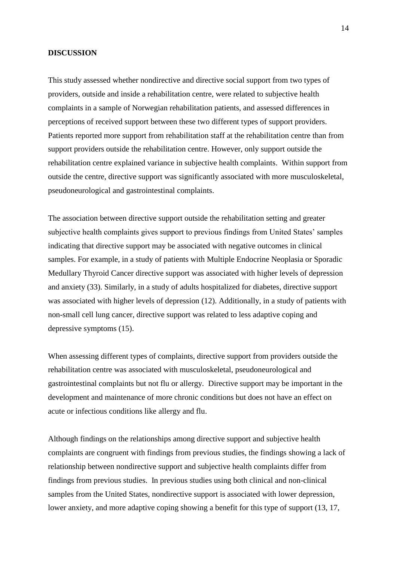#### **DISCUSSION**

This study assessed whether nondirective and directive social support from two types of providers, outside and inside a rehabilitation centre, were related to subjective health complaints in a sample of Norwegian rehabilitation patients, and assessed differences in perceptions of received support between these two different types of support providers. Patients reported more support from rehabilitation staff at the rehabilitation centre than from support providers outside the rehabilitation centre. However, only support outside the rehabilitation centre explained variance in subjective health complaints. Within support from outside the centre, directive support was significantly associated with more musculoskeletal, pseudoneurological and gastrointestinal complaints.

The association between directive support outside the rehabilitation setting and greater subjective health complaints gives support to previous findings from United States' samples indicating that directive support may be associated with negative outcomes in clinical samples. For example, in a study of patients with Multiple Endocrine Neoplasia or Sporadic Medullary Thyroid Cancer directive support was associated with higher levels of depression and anxiety (33). Similarly, in a study of adults hospitalized for diabetes, directive support was associated with higher levels of depression (12). Additionally, in a study of patients with non-small cell lung cancer, directive support was related to less adaptive coping and depressive symptoms (15).

When assessing different types of complaints, directive support from providers outside the rehabilitation centre was associated with musculoskeletal, pseudoneurological and gastrointestinal complaints but not flu or allergy. Directive support may be important in the development and maintenance of more chronic conditions but does not have an effect on acute or infectious conditions like allergy and flu.

Although findings on the relationships among directive support and subjective health complaints are congruent with findings from previous studies, the findings showing a lack of relationship between nondirective support and subjective health complaints differ from findings from previous studies. In previous studies using both clinical and non-clinical samples from the United States, nondirective support is associated with lower depression, lower anxiety, and more adaptive coping showing a benefit for this type of support (13, 17,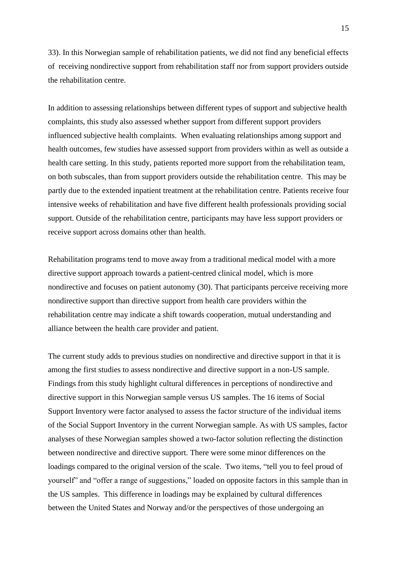33). In this Norwegian sample of rehabilitation patients, we did not find any beneficial effects of receiving nondirective support from rehabilitation staff nor from support providers outside the rehabilitation centre.

In addition to assessing relationships between different types of support and subjective health complaints, this study also assessed whether support from different support providers influenced subjective health complaints. When evaluating relationships among support and health outcomes, few studies have assessed support from providers within as well as outside a health care setting. In this study, patients reported more support from the rehabilitation team, on both subscales, than from support providers outside the rehabilitation centre. This may be partly due to the extended inpatient treatment at the rehabilitation centre. Patients receive four intensive weeks of rehabilitation and have five different health professionals providing social support. Outside of the rehabilitation centre, participants may have less support providers or receive support across domains other than health.

Rehabilitation programs tend to move away from a traditional medical model with a more directive support approach towards a patient-centred clinical model, which is more nondirective and focuses on patient autonomy (30). That participants perceive receiving more nondirective support than directive support from health care providers within the rehabilitation centre may indicate a shift towards cooperation, mutual understanding and alliance between the health care provider and patient.

The current study adds to previous studies on nondirective and directive support in that it is among the first studies to assess nondirective and directive support in a non-US sample. Findings from this study highlight cultural differences in perceptions of nondirective and directive support in this Norwegian sample versus US samples. The 16 items of Social Support Inventory were factor analysed to assess the factor structure of the individual items of the Social Support Inventory in the current Norwegian sample. As with US samples, factor analyses of these Norwegian samples showed a two-factor solution reflecting the distinction between nondirective and directive support. There were some minor differences on the loadings compared to the original version of the scale. Two items, "tell you to feel proud of yourself" and "offer a range of suggestions," loaded on opposite factors in this sample than in the US samples. This difference in loadings may be explained by cultural differences between the United States and Norway and/or the perspectives of those undergoing an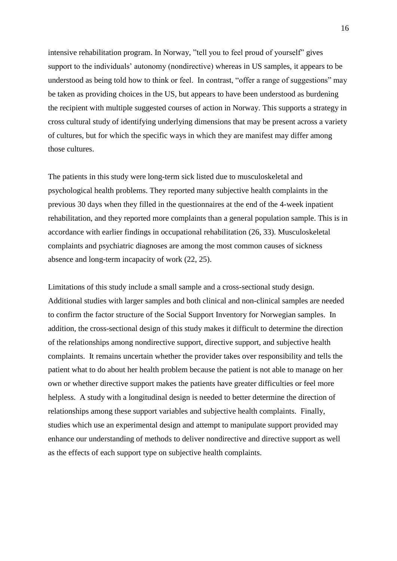intensive rehabilitation program. In Norway, "tell you to feel proud of yourself" gives support to the individuals' autonomy (nondirective) whereas in US samples, it appears to be understood as being told how to think or feel. In contrast, "offer a range of suggestions" may be taken as providing choices in the US, but appears to have been understood as burdening the recipient with multiple suggested courses of action in Norway. This supports a strategy in cross cultural study of identifying underlying dimensions that may be present across a variety of cultures, but for which the specific ways in which they are manifest may differ among those cultures.

The patients in this study were long-term sick listed due to musculoskeletal and psychological health problems. They reported many subjective health complaints in the previous 30 days when they filled in the questionnaires at the end of the 4-week inpatient rehabilitation, and they reported more complaints than a general population sample. This is in accordance with earlier findings in occupational rehabilitation (26, 33). Musculoskeletal complaints and psychiatric diagnoses are among the most common causes of sickness absence and long-term incapacity of work (22, 25).

Limitations of this study include a small sample and a cross-sectional study design. Additional studies with larger samples and both clinical and non-clinical samples are needed to confirm the factor structure of the Social Support Inventory for Norwegian samples. In addition, the cross-sectional design of this study makes it difficult to determine the direction of the relationships among nondirective support, directive support, and subjective health complaints. It remains uncertain whether the provider takes over responsibility and tells the patient what to do about her health problem because the patient is not able to manage on her own or whether directive support makes the patients have greater difficulties or feel more helpless. A study with a longitudinal design is needed to better determine the direction of relationships among these support variables and subjective health complaints. Finally, studies which use an experimental design and attempt to manipulate support provided may enhance our understanding of methods to deliver nondirective and directive support as well as the effects of each support type on subjective health complaints.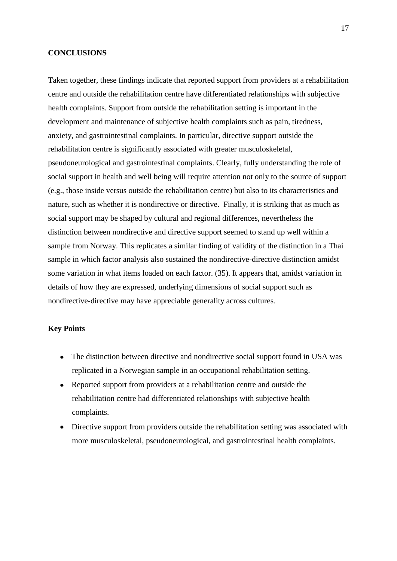#### **CONCLUSIONS**

Taken together, these findings indicate that reported support from providers at a rehabilitation centre and outside the rehabilitation centre have differentiated relationships with subjective health complaints. Support from outside the rehabilitation setting is important in the development and maintenance of subjective health complaints such as pain, tiredness, anxiety, and gastrointestinal complaints. In particular, directive support outside the rehabilitation centre is significantly associated with greater musculoskeletal, pseudoneurological and gastrointestinal complaints. Clearly, fully understanding the role of social support in health and well being will require attention not only to the source of support (e.g., those inside versus outside the rehabilitation centre) but also to its characteristics and nature, such as whether it is nondirective or directive. Finally, it is striking that as much as social support may be shaped by cultural and regional differences, nevertheless the distinction between nondirective and directive support seemed to stand up well within a sample from Norway. This replicates a similar finding of validity of the distinction in a Thai sample in which factor analysis also sustained the nondirective-directive distinction amidst some variation in what items loaded on each factor. (35). It appears that, amidst variation in details of how they are expressed, underlying dimensions of social support such as nondirective-directive may have appreciable generality across cultures.

## **Key Points**

- The distinction between directive and nondirective social support found in USA was replicated in a Norwegian sample in an occupational rehabilitation setting.
- Reported support from providers at a rehabilitation centre and outside the rehabilitation centre had differentiated relationships with subjective health complaints.
- Directive support from providers outside the rehabilitation setting was associated with more musculoskeletal, pseudoneurological, and gastrointestinal health complaints.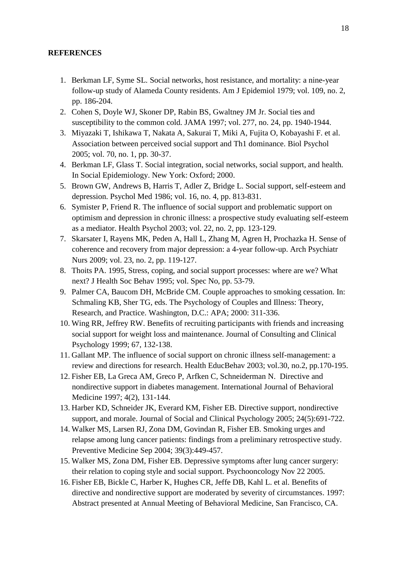## **REFERENCES**

- 1. Berkman LF, Syme SL. Social networks, host resistance, and mortality: a nine-year follow-up study of Alameda County residents. Am J Epidemiol 1979; vol. 109, no. 2, pp. 186-204.
- 2. Cohen S, Doyle WJ, Skoner DP, Rabin BS, Gwaltney JM Jr. Social ties and susceptibility to the common cold. JAMA 1997; vol. 277, no. 24, pp. 1940-1944.
- 3. Miyazaki T, Ishikawa T, Nakata A, Sakurai T, Miki A, Fujita O, Kobayashi F. et al. Association between perceived social support and Th1 dominance. Biol Psychol 2005; vol. 70, no. 1, pp. 30-37.
- 4. Berkman LF, Glass T. Social integration, social networks, social support, and health. In Social Epidemiology. New York: Oxford; 2000.
- 5. Brown GW, Andrews B, Harris T, Adler Z, Bridge L. Social support, self-esteem and depression. Psychol Med 1986; vol. 16, no. 4, pp. 813-831.
- 6. Symister P, Friend R. The influence of social support and problematic support on optimism and depression in chronic illness: a prospective study evaluating self-esteem as a mediator. Health Psychol 2003; vol. 22, no. 2, pp. 123-129.
- 7. Skarsater I, Rayens MK, Peden A, Hall L, Zhang M, Agren H, Prochazka H. Sense of coherence and recovery from major depression: a 4-year follow-up. Arch Psychiatr Nurs 2009; vol. 23, no. 2, pp. 119-127.
- 8. Thoits PA. 1995, Stress, coping, and social support processes: where are we? What next? J Health Soc Behav 1995; vol. Spec No, pp. 53-79.
- 9. Palmer CA, Baucom DH, McBride CM. Couple approaches to smoking cessation. In: Schmaling KB, Sher TG, eds. The Psychology of Couples and Illness: Theory, Research, and Practice. Washington, D.C.: APA; 2000: 311-336.
- 10. Wing RR, Jeffrey RW. Benefits of recruiting participants with friends and increasing social support for weight loss and maintenance. Journal of Consulting and Clinical Psychology 1999; 67, 132-138.
- 11. Gallant MP. The influence of social support on chronic illness self-management: a review and directions for research. Health EducBehav 2003; vol.30, no.2, pp.170-195.
- 12. Fisher EB, La Greca AM, Greco P, Arfken C, Schneiderman N. Directive and nondirective support in diabetes management. International Journal of Behavioral Medicine 1997; 4(2), 131-144.
- 13. Harber KD, Schneider JK, Everard KM, Fisher EB. Directive support, nondirective support, and morale. Journal of Social and Clinical Psychology 2005; 24(5):691-722.
- 14. Walker MS, Larsen RJ, Zona DM, Govindan R, Fisher EB. Smoking urges and relapse among lung cancer patients: findings from a preliminary retrospective study. Preventive Medicine Sep 2004; 39(3):449-457.
- 15. Walker MS, Zona DM, Fisher EB. Depressive symptoms after lung cancer surgery: their relation to coping style and social support. Psychooncology Nov 22 2005.
- 16. Fisher EB, Bickle C, Harber K, Hughes CR, Jeffe DB, Kahl L. et al. Benefits of directive and nondirective support are moderated by severity of circumstances. 1997: Abstract presented at Annual Meeting of Behavioral Medicine, San Francisco, CA.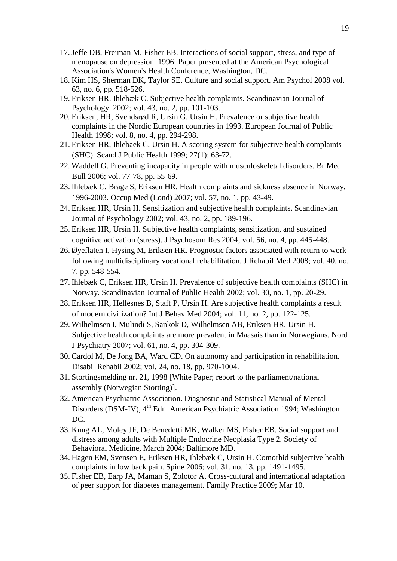- 17. Jeffe DB, Freiman M, Fisher EB. Interactions of social support, stress, and type of menopause on depression. 1996: Paper presented at the American Psychological Association's Women's Health Conference, Washington, DC.
- 18. Kim HS, Sherman DK, Taylor SE. Culture and social support. Am Psychol 2008 vol. 63, no. 6, pp. 518-526.
- 19. Eriksen HR. Ihlebæk C. Subjective health complaints. Scandinavian Journal of Psychology. 2002; vol. 43, no. 2, pp. 101-103.
- 20. Eriksen, HR, Svendsrød R, Ursin G, Ursin H. Prevalence or subjective health complaints in the Nordic European countries in 1993. European Journal of Public Health 1998; vol. 8, no. 4, pp. 294-298.
- 21. Eriksen HR, Ihlebaek C, Ursin H. A scoring system for subjective health complaints (SHC). Scand J Public Health 1999; 27(1): 63-72.
- 22. Waddell G. Preventing incapacity in people with musculoskeletal disorders. Br Med Bull 2006; vol. 77-78, pp. 55-69.
- 23. Ihlebæk C, Brage S, Eriksen HR. Health complaints and sickness absence in Norway, 1996-2003. Occup Med (Lond) 2007; vol. 57, no. 1, pp. 43-49.
- 24. Eriksen HR, Ursin H. Sensitization and subjective health complaints. Scandinavian Journal of Psychology 2002; vol. 43, no. 2, pp. 189-196.
- 25. Eriksen HR, Ursin H. Subjective health complaints, sensitization, and sustained cognitive activation (stress). J Psychosom Res 2004; vol. 56, no. 4, pp. 445-448.
- 26. Øyeflaten I, Hysing M, Eriksen HR. Prognostic factors associated with return to work following multidisciplinary vocational rehabilitation. J Rehabil Med 2008; vol. 40, no. 7, pp. 548-554.
- 27. Ihlebæk C, Eriksen HR, Ursin H. Prevalence of subjective health complaints (SHC) in Norway. Scandinavian Journal of Public Health 2002; vol. 30, no. 1, pp. 20-29.
- 28. Eriksen HR, Hellesnes B, Staff P, Ursin H. Are subjective health complaints a result of modern civilization? Int J Behav Med 2004; vol. 11, no. 2, pp. 122-125.
- 29. Wilhelmsen I, Mulindi S, Sankok D, Wilhelmsen AB, Eriksen HR, Ursin H. Subjective health complaints are more prevalent in Maasais than in Norwegians. Nord J Psychiatry 2007; vol. 61, no. 4, pp. 304-309.
- 30. Cardol M, De Jong BA, Ward CD. On autonomy and participation in rehabilitation. Disabil Rehabil 2002; vol. 24, no. 18, pp. 970-1004.
- 31. Stortingsmelding nr. 21, 1998 [White Paper; report to the parliament/national assembly (Norwegian Storting)].
- 32. American Psychiatric Association. Diagnostic and Statistical Manual of Mental Disorders (DSM-IV), 4<sup>th</sup> Edn. American Psychiatric Association 1994; Washington DC.
- 33. Kung AL, Moley JF, De Benedetti MK, Walker MS, Fisher EB. Social support and distress among adults with Multiple Endocrine Neoplasia Type 2. Society of Behavioral Medicine, March 2004; Baltimore MD.
- 34. Hagen EM, Svensen E, Eriksen HR, Ihlebæk C, Ursin H. Comorbid subjective health complaints in low back pain. Spine 2006; vol. 31, no. 13, pp. 1491-1495.
- 35. Fisher EB, Earp JA, Maman S, Zolotor A. Cross-cultural and international adaptation of peer support for diabetes management. Family Practice 2009; Mar 10.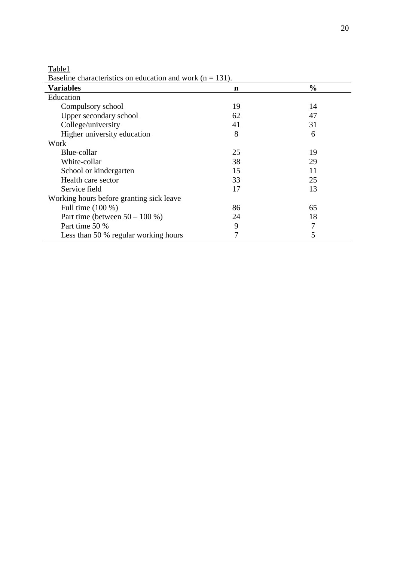| Baseline characteristics on education and work ( $n = 131$ ). |    |               |  |  |  |
|---------------------------------------------------------------|----|---------------|--|--|--|
| <b>Variables</b>                                              | n  | $\frac{0}{0}$ |  |  |  |
| Education                                                     |    |               |  |  |  |
| Compulsory school                                             | 19 | 14            |  |  |  |
| Upper secondary school                                        | 62 | 47            |  |  |  |
| College/university                                            | 41 | 31            |  |  |  |
| Higher university education                                   | 8  | 6             |  |  |  |
| Work                                                          |    |               |  |  |  |
| Blue-collar                                                   | 25 | 19            |  |  |  |
| White-collar                                                  | 38 | 29            |  |  |  |
| School or kindergarten                                        | 15 | 11            |  |  |  |
| Health care sector                                            | 33 | 25            |  |  |  |
| Service field                                                 | 17 | 13            |  |  |  |
| Working hours before granting sick leave                      |    |               |  |  |  |
| Full time $(100\%)$                                           | 86 | 65            |  |  |  |
| Part time (between $50 - 100\%$ )                             | 24 | 18            |  |  |  |
| Part time 50 %                                                | 9  | 7             |  |  |  |
| Less than 50 % regular working hours                          | 7  | 5             |  |  |  |

 $\frac{\text{Table 1}}{\text{Case 1}}$ Baseline characteristics on education and work ( $n = 131$ ).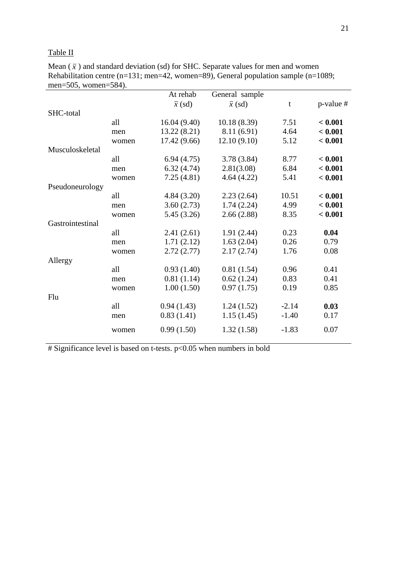# Table II

|                  |       | At rehab       | General sample |             |           |
|------------------|-------|----------------|----------------|-------------|-----------|
|                  |       | $\bar{x}$ (sd) | $\bar{x}$ (sd) | $\mathbf t$ | p-value # |
| SHC-total        |       |                |                |             |           |
|                  | all   | 16.04(9.40)    | 10.18(8.39)    | 7.51        | < 0.001   |
|                  | men   | 13.22(8.21)    | 8.11(6.91)     | 4.64        | < 0.001   |
|                  | women | 17.42 (9.66)   | 12.10(9.10)    | 5.12        | < 0.001   |
| Musculoskeletal  |       |                |                |             |           |
|                  | all   | 6.94(4.75)     | 3.78(3.84)     | 8.77        | < 0.001   |
|                  | men   | 6.32(4.74)     | 2.81(3.08)     | 6.84        | < 0.001   |
|                  | women | 7.25(4.81)     | 4.64(4.22)     | 5.41        | < 0.001   |
| Pseudoneurology  |       |                |                |             |           |
|                  | all   | 4.84(3.20)     | 2.23(2.64)     | 10.51       | < 0.001   |
|                  | men   | 3.60(2.73)     | 1.74(2.24)     | 4.99        | < 0.001   |
|                  | women | 5.45(3.26)     | 2.66(2.88)     | 8.35        | < 0.001   |
| Gastrointestinal |       |                |                |             |           |
|                  | all   | 2.41(2.61)     | 1.91(2.44)     | 0.23        | 0.04      |
|                  | men   | 1.71(2.12)     | 1.63(2.04)     | 0.26        | 0.79      |
|                  | women | 2.72(2.77)     | 2.17(2.74)     | 1.76        | 0.08      |
| Allergy          |       |                |                |             |           |
|                  | all   | 0.93(1.40)     | 0.81(1.54)     | 0.96        | 0.41      |
|                  | men   | 0.81(1.14)     | 0.62(1.24)     | 0.83        | 0.41      |
|                  | women | 1.00(1.50)     | 0.97(1.75)     | 0.19        | 0.85      |
| Flu              |       |                |                |             |           |
|                  | all   | 0.94(1.43)     | 1.24(1.52)     | $-2.14$     | 0.03      |
|                  | men   | 0.83(1.41)     | 1.15(1.45)     | $-1.40$     | 0.17      |
|                  | women | 0.99(1.50)     | 1.32(1.58)     | $-1.83$     | 0.07      |

Mean  $(\bar{x})$  and standard deviation (sd) for SHC. Separate values for men and women Rehabilitation centre (n=131; men=42, women=89), General population sample (n=1089; men=505, women=584).

# Significance level is based on t-tests. p<0.05 when numbers in bold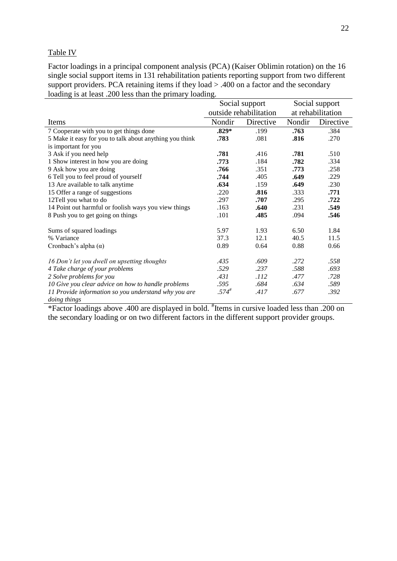# Table IV

Factor loadings in a principal component analysis (PCA) (Kaiser Oblimin rotation) on the 16 single social support items in 131 rehabilitation patients reporting support from two different support providers. PCA retaining items if they load  $> .400$  on a factor and the secondary loading is at least .200 less than the primary loading.

|                                                                      | Social support |                        | Social support    |           |  |
|----------------------------------------------------------------------|----------------|------------------------|-------------------|-----------|--|
|                                                                      |                | outside rehabilitation | at rehabilitation |           |  |
| Items                                                                | Nondir         | Directive              | Nondir            | Directive |  |
| 7 Cooperate with you to get things done                              | $.829*$        | .199                   | .763              | .384      |  |
| 5 Make it easy for you to talk about anything you think              | .783           | .081                   | .816              | .270      |  |
| is important for you                                                 |                |                        |                   |           |  |
| 3 Ask if you need help                                               | .781           | .416                   | .781              | .510      |  |
| 1 Show interest in how you are doing                                 | .773           | .184                   | .782              | .334      |  |
| 9 Ask how you are doing                                              | .766           | .351                   | .773              | .258      |  |
| 6 Tell you to feel proud of yourself                                 | .744           | .405                   | .649              | .229      |  |
| 13 Are available to talk anytime                                     | .634           | .159                   | .649              | .230      |  |
| 15 Offer a range of suggestions                                      | .220           | .816                   | .333              | .771      |  |
| 12Tell you what to do                                                | .297           | .707                   | .295              | .722      |  |
| 14 Point out harmful or foolish ways you view things                 | .163           | .640                   | .231              | .549      |  |
| 8 Push you to get going on things                                    | .101           | .485                   | .094              | .546      |  |
| Sums of squared loadings                                             | 5.97           | 1.93                   | 6.50              | 1.84      |  |
| % Variance                                                           | 37.3           | 12.1                   | 40.5              | 11.5      |  |
| Cronbach's alpha $(\alpha)$                                          | 0.89           | 0.64                   | 0.88              | 0.66      |  |
| 16 Don't let you dwell on upsetting thoughts                         | .435           | .609                   | .272              | .558      |  |
| 4 Take charge of your problems                                       | .529           | .237                   | .588              | .693      |  |
| 2 Solve problems for you                                             | .431           | .112                   | .477              | .728      |  |
| 10 Give you clear advice on how to handle problems                   | .595           | .684                   | .634              | .589      |  |
| 11 Provide information so you understand why you are<br>doing things | $.574^{#}$     | .417                   | .677              | .392      |  |

\*Factor loadings above .400 are displayed in bold. # Items in cursive loaded less than .200 on the secondary loading or on two different factors in the different support provider groups.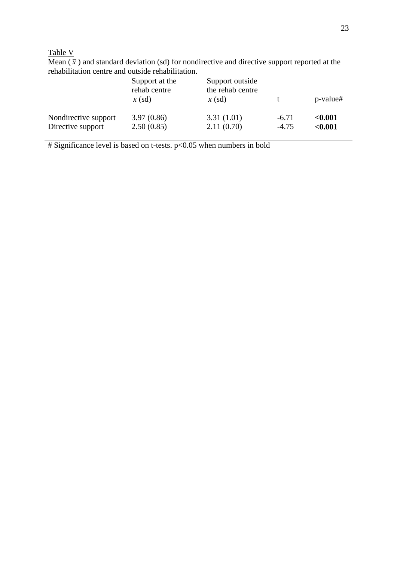Table V

Mean  $(\bar{x})$  and standard deviation (sd) for nondirective and directive support reported at the rehabilitation centre and outside rehabilitation.

|                      | Support at the<br>rehab centre<br>$\bar{x}$ (sd) | Support outside<br>the rehab centre<br>$\bar{x}$ (sd) |         | p-value# |  |
|----------------------|--------------------------------------------------|-------------------------------------------------------|---------|----------|--|
| Nondirective support | 3.97(0.86)                                       | 3.31(1.01)                                            | $-6.71$ | < 0.001  |  |
| Directive support    | 2.50(0.85)                                       | 2.11(0.70)                                            | $-4.75$ | < 0.001  |  |

# Significance level is based on t-tests. p<0.05 when numbers in bold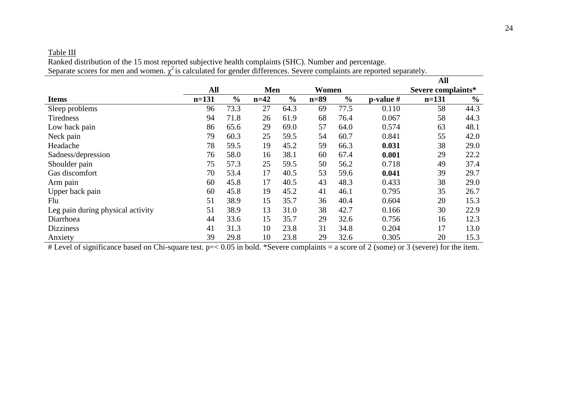# Table III

Ranked distribution of the 15 most reported subjective health complaints (SHC). Number and percentage. Separate scores for men and women.  $\chi^2$  is calculated for gender differences. Severe complaints are reported separately.

|                                   |         |               |        |               |        |               |             | All                |               |
|-----------------------------------|---------|---------------|--------|---------------|--------|---------------|-------------|--------------------|---------------|
|                                   | All     |               | Men    |               | Women  |               |             | Severe complaints* |               |
| <b>Items</b>                      | $n=131$ | $\frac{0}{0}$ | $n=42$ | $\frac{6}{9}$ | $n=89$ | $\frac{6}{9}$ | $p-value$ # | $n=131$            | $\frac{0}{0}$ |
| Sleep problems                    | 96      | 73.3          | 27     | 64.3          | 69     | 77.5          | 0.110       | 58                 | 44.3          |
| Tiredness                         | 94      | 71.8          | 26     | 61.9          | 68     | 76.4          | 0.067       | 58                 | 44.3          |
| Low back pain                     | 86      | 65.6          | 29     | 69.0          | 57     | 64.0          | 0.574       | 63                 | 48.1          |
| Neck pain                         | 79      | 60.3          | 25     | 59.5          | 54     | 60.7          | 0.841       | 55                 | 42.0          |
| Headache                          | 78      | 59.5          | 19     | 45.2          | 59     | 66.3          | 0.031       | 38                 | 29.0          |
| Sadness/depression                | 76      | 58.0          | 16     | 38.1          | 60     | 67.4          | 0.001       | 29                 | 22.2          |
| Shoulder pain                     | 75      | 57.3          | 25     | 59.5          | 50     | 56.2          | 0.718       | 49                 | 37.4          |
| Gas discomfort                    | 70      | 53.4          | 17     | 40.5          | 53     | 59.6          | 0.041       | 39                 | 29.7          |
| Arm pain                          | 60      | 45.8          | 17     | 40.5          | 43     | 48.3          | 0.433       | 38                 | 29.0          |
| Upper back pain                   | 60      | 45.8          | 19     | 45.2          | 41     | 46.1          | 0.795       | 35                 | 26.7          |
| Flu                               | 51      | 38.9          | 15     | 35.7          | 36     | 40.4          | 0.604       | 20                 | 15.3          |
| Leg pain during physical activity | 51      | 38.9          | 13     | 31.0          | 38     | 42.7          | 0.166       | 30                 | 22.9          |
| Diarrhoea                         | 44      | 33.6          | 15     | 35.7          | 29     | 32.6          | 0.756       | 16                 | 12.3          |
| <b>Dizziness</b>                  | 41      | 31.3          | 10     | 23.8          | 31     | 34.8          | 0.204       | 17                 | 13.0          |
| Anxiety                           | 39      | 29.8          | 10     | 23.8          | 29     | 32.6          | 0.305       | 20                 | 15.3          |

# Level of significance based on Chi-square test. p=< 0.05 in bold. \*Severe complaints = a score of 2 (some) or 3 (severe) for the item.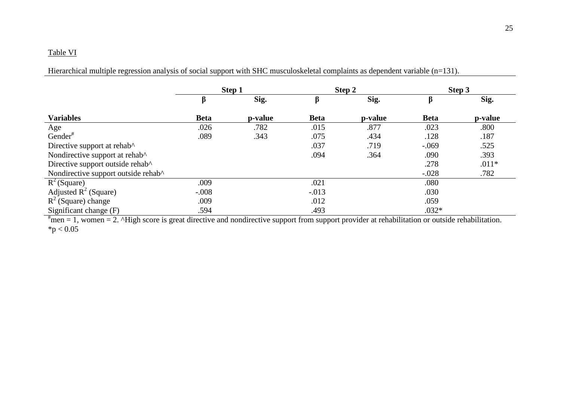# Table VI

Hierarchical multiple regression analysis of social support with SHC musculoskeletal complaints as dependent variable (n=131).

|                                         | Step 1      |         |             | Step 2  | Step 3      |         |
|-----------------------------------------|-------------|---------|-------------|---------|-------------|---------|
|                                         |             | Sig.    | ß           | Sig.    | β           | Sig.    |
| <b>Variables</b>                        | <b>Beta</b> | p-value | <b>Beta</b> | p-value | <b>Beta</b> | p-value |
| Age                                     | .026        | .782    | .015        | .877    | .023        | .800    |
| Gender <sup>#</sup>                     | .089        | .343    | .075        | .434    | .128        | .187    |
| Directive support at rehab <sup>^</sup> |             |         | .037        | .719    | $-.069$     | .525    |
| Nondirective support at rehab^          |             |         | .094        | .364    | .090        | .393    |
| Directive support outside rehab^        |             |         |             |         | .278        | $.011*$ |
| Nondirective support outside rehab^     |             |         |             |         | $-.028$     | .782    |
| $R^2$ (Square)                          | .009        |         | .021        |         | .080        |         |
| Adjusted $R^2$ (Square)                 | $-.008$     |         | $-.013$     |         | .030        |         |
| $R^2$ (Square) change                   | .009        |         | .012        |         | .059        |         |
| Significant change (F)                  | .594        |         | .493        |         | $.032*$     |         |

 $\overline{m}$ men = 1, women = 2.  $\overline{m}$ High score is great directive and nondirective support from support provider at rehabilitation or outside rehabilitation.  $*p < 0.05$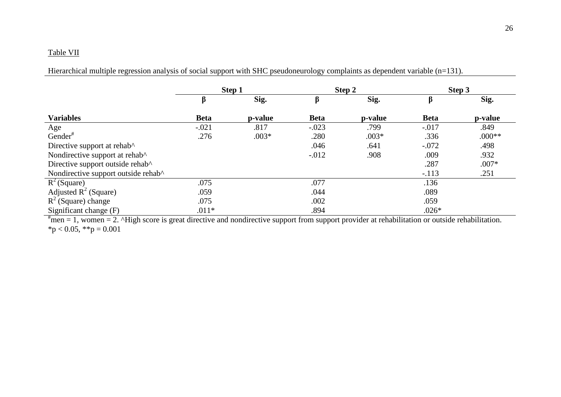# Table VII

Hierarchical multiple regression analysis of social support with SHC pseudoneurology complaints as dependent variable (n=131).

|                                     | Step 1      |         |             | Step 2  | Step 3      |          |
|-------------------------------------|-------------|---------|-------------|---------|-------------|----------|
|                                     | β           | Sig.    | β           | Sig.    | β           | Sig.     |
| <b>Variables</b>                    | <b>Beta</b> | p-value | <b>Beta</b> | p-value | <b>Beta</b> | p-value  |
| Age                                 | $-.021$     | .817    | $-.023$     | .799    | $-.017$     | .849     |
| Gender <sup>#</sup>                 | .276        | $.003*$ | .280        | $.003*$ | .336        | $.000**$ |
| Directive support at rehab^         |             |         | .046        | .641    | $-.072$     | .498     |
| Nondirective support at rehab^      |             |         | $-.012$     | .908    | .009        | .932     |
| Directive support outside rehab^    |             |         |             |         | .287        | $.007*$  |
| Nondirective support outside rehab^ |             |         |             |         | $-.113$     | .251     |
| $R^2$ (Square)                      | .075        |         | .077        |         | .136        |          |
| Adjusted $R^2$ (Square)             | .059        |         | .044        |         | .089        |          |
| $R^2$ (Square) change               | .075        |         | .002        |         | .059        |          |
| Significant change (F)              | $.011*$     |         | .894        |         | $.026*$     |          |

 $\mu$ <sup>#</sup>men = 1, women = 2. ^High score is great directive and nondirective support from support provider at rehabilitation or outside rehabilitation.  $*{\rm p} < 0.05, **{\rm p} = 0.001$